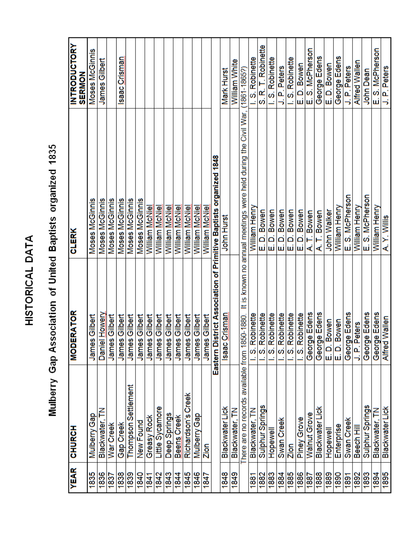## HISTORICAL DATA

## S. R. T. Robinette **INTRODUCTORY** E. D. Bowen<br>E. S. McPherson E. S. McPherson Moses McGinnis George Edens George Edens saac Crisman .S. Robinette I.S. Robinette .S. Robinette James Gilbert William White **Alfred Wallen** E.D. Bowen J. P. Peters J. P. Peters J. P. Peters  $(1861 - 18657)$ Mark Hurst **John Dean SERMON** here are no records available from 1850-1880. It is known no annual meetings were held during the Civil War, Eastern District Association of Primitive Baptists organized 1848 E. S. McPherson E.S. McPherson Moses McGinnis Moses McGinnis **Moses McGinnis** Moses McGinnis Moses McGinnis Moses McGinnis William McNiel William Henry William Henry William McNiel William McNiel William McNiel William McNiel William McNiel William McNiel William Henry William Henry E.D. Bowen E.D. Bowen E.D. Bowen E.D. Bowen E.D. Bowen A.T. Bowen A. T. Bowen John Walker A. Y. Willis John Hurst **CLERK MODERATOR** George Edens George Edens George Edens Daniel Howery S. Robinette S. Robinette S. Robinette George Edens George Edens Isaac Crisman I.S. Robinette S. Robinette S. Robinette James Gilbert James Gilbert James Gilbert **James Gilbert** James Gilbert James Gilbert **James Gilbert James Gilbert** James Gilbert **James Gilbert James Gilbert** James Gilbert **Alfred Wallen** E.D. Bowen E.D. Bowen J. P. Peters Thompson Settlement Richardson's Creek Sulphur Springs Sulphur Springs Little Sycamore **Blackwater Lick Blackwater Lick Blackwater Lick** Blackwater, TN Blackwater, TN Blackwater, TN Walnut Grove Deep Springs Mulberry Gap Mulberry Gap Greasy Rock Beens Creek **Piney Grove** Blackwater, Swan Creek Swan Creek New Found War Creek Gap Creek Enterprise Beech Hill **CHURCH Hopewell** Hopewell Zion Zion **YEAR** 1835 1836 1846 1848 1895 1838 1839 1843 1845 1849 1885 1886 1888 1889  $\frac{1840}{2}$ 1842 1844 1882 1883 1884 1890 1893 1894 1881 1887 1892 1841  $\frac{1847}{ }$  $\frac{1891}{1891}$ 1837

## Mulberry Gap Association of United Baptists organized 1835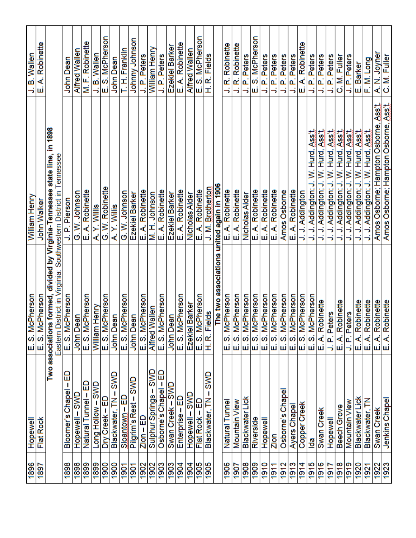|                     | <b>IlemedoH</b>            | McPherson                                                                                | William Henry                                        | J. B. Wallen                 |
|---------------------|----------------------------|------------------------------------------------------------------------------------------|------------------------------------------------------|------------------------------|
| $\frac{1681}{1692}$ | Flat Rock                  | McPherson<br>$\frac{ \vec{\omega}  \vec{\omega}}{ \vec{\omega} }$                        | John Walker                                          | E. A. Robinette              |
|                     | Two                        | Eastern District in Virginia: Southwestern District in Tennessee<br>associations formed, | in 1898<br>divided by Virginia-Tennessee state line, |                              |
| 1898                | ⊞<br>Bloomer's Chapel      | McPherson<br>$\mathbf{E}$ , S.                                                           | J. P. Pierson                                        | John Dean                    |
| 1898                | Hopewell-SWD               | Dean                                                                                     | G. W. Johnson                                        | Alfred Wallen                |
| 1899                | Natural Tunnel – ED        | McPherson<br>$\frac{\text{John I}}{\text{E}.\text{S}}$                                   | E. A. Robinette                                      | M. F. Robinette              |
| 1899                | Long Hollow – SWD          | m Henry                                                                                  | A.Y. Willis                                          | J. B. Wallen                 |
| 1900                | Dry Creek - ED             | McPherson<br>α<br>Ε                                                                      | G. W. Robinette                                      | E. S. McPherson              |
| $\frac{0061}{1}$    | SWD<br>ı<br>Blackwater, TN | Dean<br>John                                                                             | A.Y. Willis                                          | John Dean                    |
| 1901                | ⊞<br>Sloantown-            | McPherson<br>$E.$ S.                                                                     | G. W. Johnson                                        | T. H. Franklin               |
| $\frac{1901}{1}$    | SWD<br>Pilgrim's Rest-     | Dean<br>John                                                                             | Ezekiel Barker                                       | Johnny Johnson               |
|                     | ED<br>$Zion -$             | McPherson                                                                                | A. Robinette<br>نىا                                  | J. P. Peters                 |
| Z06L                | SWD<br>Sulphur Springs-    |                                                                                          | M. H. Johnson                                        | William Henry                |
| 1903                | 品<br>Osborne's Chapel      | McPherson<br>E. S. McPhers<br>Alfred Wallen<br>E. S. McPhers                             | A. Robinette<br>шi                                   | J. P. Peters                 |
| 1903                | aws<br>Swan Creek-         | Dean<br>John                                                                             | Ezekiel Barker                                       | Ezekiel Barker               |
| 1904                | Enterprise - ED            | McPherson<br> ഗ്<br> ⊔                                                                   | E. A. Robinette                                      | E. A. Robinette              |
| 1904                | Hopewell-SWD               | Ezekiel Barker<br>E. S. McPherso<br>H. R. Fields                                         | Nicholas Alder                                       | Alfred Wallen                |
| $\frac{1905}{1905}$ | ⊞<br>Flat Rock-            | McPherson                                                                                | E. A. Robinette                                      | E. S. McPherson              |
|                     | SWD<br>Blackwater, TN      |                                                                                          | J. M. Brotherton                                     | H. R. Fields                 |
|                     |                            | The two associations                                                                     | united again in 1906                                 |                              |
| 1906                | Natural Tunnel             | McPherson<br>တဲ<br>ші                                                                    | E. A. Robinette                                      | R. Robinette<br>Ś,           |
| 1907                | Mountain View              | McPherson                                                                                | E. A. Robinette                                      | J. R. Robinette              |
| 1908                | Blackwater Lick            | McPherson                                                                                | Nicholas Alder                                       | P. Peters<br>÷,              |
| 1909                | Riverside                  | McPherson<br>$  \omega  $ တ်                                                             | E. A. Robinette                                      | S. McPherson<br>щі           |
| 1910                | Hopewell                   | McPherson                                                                                | A. Robinette<br>шi                                   | J. P. Peters                 |
| 911                 | Zion                       | McPherson<br>ကြကြ<br>نباننا اسا اسالت اسالته اسالته                                      | E. A. Robinette                                      |                              |
| 1912                | Chape<br>Osborne's         | McPherson                                                                                | Amos Osborne                                         | P. Peters<br>⊰               |
| $\frac{1913}{2}$    | Ayers Chape                | McPherson<br>တ                                                                           | E. A. Robinette                                      | P. Peters<br>В               |
| 1914                | Copper Creek               | McPherson<br>တြကြ                                                                        | J. J. Addington                                      | E. A. Robinette              |
| $\frac{5161}{1}$    | lda                        | McPherson                                                                                | W. Hurd, Ass't<br>J. J. Addington; J                 | P. Peters<br>B,              |
| $\frac{916}{1}$     | Swan Creek                 | Robinette<br>$\prec$                                                                     | J. J. Addington; J. W. Hurd, Ass't                   | J. P. Peters                 |
| 1917                | Hopewell                   | P. Peters                                                                                | J. Addington; J. W. Hurd, Ass't                      | P. Peters<br>5               |
| 1918                | Beech Grove                | Robinette<br>₹<br>نىرا                                                                   | J. J. Addington; J. W. Hurd, Ass't                   | C. M. Fuller                 |
| $\frac{6161}{1}$    | Mountain View              | Peters<br>۱ <mark>۵</mark>                                                               | J. Addington; J. W. Hurd, Ass't                      | J. P. Peters                 |
| 1920                | Blackwater Lick            | Robinette<br>₹                                                                           | . J. Addington; J. W. Hurd, Ass't                    | E. Barker                    |
| 1921                | Blackwater, TN             | Robinette<br>₹<br>யியி                                                                   | J. J. Addington; J. W. Hurd, Ass't                   | F. M. Long                   |
| $\frac{1922}{1923}$ | Swan Creek                 | Robinette<br>نبرانيا                                                                     | Amos Osborne; Hampton Osborne, Ass't.                |                              |
|                     | Jenkins Chapel             | Robinette<br>خ∣خ                                                                         | Amos Osborne; Hampton Osborne, Ass't.                | A. N. Joyner<br>C. M. Fuller |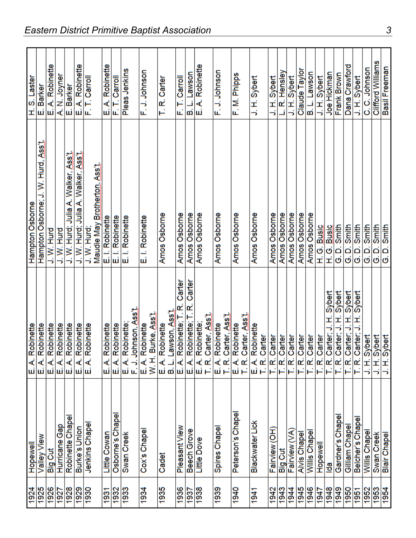|                                           | <b>Hopewell</b>            |                                                                                                                                                                                                                                       | Hampton Osborne                                   | H.S. Laster                                   |
|-------------------------------------------|----------------------------|---------------------------------------------------------------------------------------------------------------------------------------------------------------------------------------------------------------------------------------|---------------------------------------------------|-----------------------------------------------|
| $\frac{1924}{1925}$                       | Valley View                | E. A. Robinette<br>E. A. Robinette<br>E. A. Robinette<br>E. A. Robinette<br>E. A. Robinette                                                                                                                                           | Hampton Osborne; J. W. Hurd, Ass't                | Barker<br>щÏ                                  |
| 1926<br>1927                              | <b>Big Cut</b>             |                                                                                                                                                                                                                                       | J. W. Hurd                                        | A. Robinette<br>ι <mark>ш</mark> ί)           |
|                                           | <b>Gap</b><br>Hurricane    |                                                                                                                                                                                                                                       | J. W. Hurd                                        | A. N. Joyne                                   |
|                                           | Robinette Chape            |                                                                                                                                                                                                                                       | <b>Ass't</b><br>Walker,<br>⋞<br>J. W. Hurd; Julia |                                               |
| $\frac{88}{220}$                          | Burke's Union              |                                                                                                                                                                                                                                       | J. W. Hurd; Julia A. Walker, Ass't                | E. Barker<br>E. A. Robinette<br>F. T. Carroll |
|                                           | Jenkins Chape              |                                                                                                                                                                                                                                       | Maudie May Brotherton, Ass't.<br>J. W. Hurd;      |                                               |
|                                           | Little Cowan               | $\prec$                                                                                                                                                                                                                               | E. I. Robinette                                   | E. A. Robinette                               |
| $\frac{193}{1933}$                        | Osborne's Chape            | Robinette<br>Robinette<br>$\mathbf{A}^{\dagger}$<br>யிய                                                                                                                                                                               | E. I. Robinette                                   | F.T.Carroll                                   |
|                                           | Swan Creek                 | E. A. Robinette;<br>F. J. Johnson, <u>Ass`t</u>                                                                                                                                                                                       | E. I. Robinette                                   | Pleas Jenkins                                 |
| 1934                                      | Cox's Chape                | Burke, Assit<br>E. A. Robinette<br>W. H. Burke, Ass                                                                                                                                                                                   | E. I. Robinette                                   | F. J. Johnson                                 |
| 1935                                      | Cadet                      | E. A. Robinette<br>B. L. Lawson, <u>Ass't</u><br>E. A. Robinette, T. R. (                                                                                                                                                             | Amos Osborne                                      | T.R.Carter                                    |
| 1936                                      | Pleasant View              | Carter                                                                                                                                                                                                                                | Amos Osborne                                      | T. Carroll<br>цí                              |
| 1937                                      | Grove<br><b>Beech</b>      | Carter<br>T.R.                                                                                                                                                                                                                        | Amos Osborne                                      | Lawson<br>ø                                   |
| 1938                                      | <b>Little Dove</b>         |                                                                                                                                                                                                                                       | Amos Osborne                                      | E. A. Robinette                               |
| 1939                                      | Spires Chape               | E. A. Robinette<br>T. R. Carter, Ass't                                                                                                                                                                                                | Amos Osborne                                      | F. J. Johnson                                 |
| 1940                                      | Peterson's Chape           | . A. Robinette<br>. R. Carter, Ass't.<br>யிட்                                                                                                                                                                                         | Amos Osborne                                      | F. M. Phipps                                  |
| 1941                                      | <b>Blackwater Lick</b>     | E. A. Robinette<br>T. R. Carter<br>T. R. Carter<br>T. R. Carter<br>T. R. Carter<br>T. R. Carter, J. H. Sybert<br>T. R. Carter, J. H. Sybert<br>T. R. Carter, J. H. Sybert<br>T. R. Carter, J. H. Sybert<br>T. R. Carter, J. H. Sybert | Amos Osborne                                      | J.H.Sybert                                    |
| 1942                                      | 공<br>Fairview              |                                                                                                                                                                                                                                       | Amos Osborne                                      | J.H. Sybert                                   |
| 1943                                      | <b>Big Cut</b>             |                                                                                                                                                                                                                                       | Amos Osborne                                      | L. R. Hensley                                 |
| 1944                                      | Fairview (VA               |                                                                                                                                                                                                                                       | Amos Osborne                                      | J.H.Sybert                                    |
| $\frac{5}{8}$ $\frac{2}{8}$ $\frac{1}{8}$ | Alvis Chape                |                                                                                                                                                                                                                                       | Amos Osborne                                      | Claude Taylor                                 |
|                                           | Willis Chapel              |                                                                                                                                                                                                                                       | Amos Osborne                                      | B. L. Lawson                                  |
|                                           | Hopewell                   |                                                                                                                                                                                                                                       | H.G. Busic                                        | J. H. Sybert                                  |
| 1948                                      | lda                        |                                                                                                                                                                                                                                       | H. G. Busic                                       | Joe Hickman                                   |
| 1949                                      | Gardner's Chape            |                                                                                                                                                                                                                                       | G.D. Smith                                        | Frank Brown                                   |
| 1950                                      | Gilliam Chape              |                                                                                                                                                                                                                                       | G.D. Smith                                        | Dana Crawford                                 |
| 1951                                      | Belcher's Chape            |                                                                                                                                                                                                                                       | G.D. Smith                                        | J. H. Sybert                                  |
| 1952                                      | Willis Chape               | Ĩ,<br>⇒                                                                                                                                                                                                                               | G.D. Smith                                        | C.C. Johnson                                  |
|                                           |                            |                                                                                                                                                                                                                                       |                                                   | Clifford Williams                             |
| $\frac{1953}{1954}$                       | Swan Creek<br>Blair Chapel | Sybert<br>Sybert<br>Sybert<br>리크<br>라크                                                                                                                                                                                                | G. D. Smith<br>G. D. Smith                        | Basil Freeman                                 |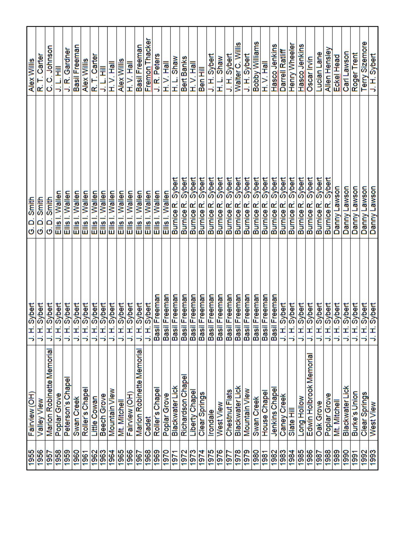| <b>SS61</b>      | Fairview (OH)                      | י                                         | Smith<br>G.D.                    | <b>Alex Willis</b> |
|------------------|------------------------------------|-------------------------------------------|----------------------------------|--------------------|
| 1956             | Valley View                        | H. Sybert<br>H. Sybert<br>H. Sybert<br>כ  | Smith<br>$\mathbf{\Omega}$<br>ö  | Carter<br>غە       |
| 1957             | Memoria<br><b>Marion Robinette</b> | Sybert<br>Sybert<br>∍                     | Smith<br>$\Omega$<br>ö           | Johnson<br>ය<br>ර  |
| 1958             | Poplar Grove                       | ١÷<br>∍                                   | Ellis I. Wallen                  | Ī<br>ن<br>خ        |
| 1959             | Peterson's Chapel                  | Sybert<br>÷<br>っ                          | Ellis I. Wallen                  | J. R. Gardner      |
| 1960             | Swan Creek                         | Sybert<br>$\vec{+}$<br>5                  | Ellis I. Wallen                  | Basil Freemar      |
| 1961             | Roller's Chape                     | Sybert<br>Ŧ,<br>ś                         | Ellis I. Wallen                  | Alex Willis        |
| 1962             | Little Cowan                       | <b>Sybert</b><br>$\mathbf{E}^{\parallel}$ | Ellis I. Wallen                  | R. T. Carter       |
| 1963             | Beech Grove                        | <b>Hedvert</b><br>ち                       | Ellis I. Wallen                  | J.L.HII            |
| 1964             | Mountain View                      | H. Sybert<br>٦                            | Ellis I. Wallen                  | H.V.Hall           |
| 1965             | Mt. Mitchell                       | Sybert<br>$\vec{+}$<br>っ                  | Ellis I. Wallen                  | Alex Willis        |
| 1966             | Fairview (OH                       | 1. Sybert<br>∍                            | Wallen<br>Eilis I.               | H.V.Hall           |
| 1967             | Marion Robinette Memoria           | H. Sybert<br>־                            | Wallen<br>Eilis I.               | Basil Freeman      |
| 1968             | Cadet                              |                                           | Wallen<br>Ellis                  | Fremon Thacke      |
| 1969             | Roller's Chape                     | Basil Freeman                             | Wallen<br>Ellis I.               | J.R. Peters        |
| 1970             | Poplar Grove                       | Basil Freeman                             | Ellis I. Wallen                  | H.V. Hall          |
| 1971             | <b>Blackwater Lick</b>             | Basil Freeman                             | Burnice R. Sybert                | H. L. Shaw         |
| 1972             | Richardson Chape                   | Basil Freeman<br>Basil Freeman            | Sybert<br>Burnice <sub>R</sub>   | Bert Banks         |
| 1973             | Liberty Chapel                     |                                           | Sybert<br>Burnice <sub>R</sub> . | H.V.Hall           |
| 1974             | Clear Springs                      | Basil Freeman                             | Sybert<br>Burnice <sub>R.</sub>  | Ben Hill           |
| 1975             | <b>Irondale</b>                    | Basil Freeman                             | Sybert<br>Burnice <sub>R</sub> . | J.H.Sybert         |
| 1976             | West View                          | Basil Freeman                             | Sybert<br>Burnice <sub>R.</sub>  | H. L. Shaw         |
| 1977             | Chestnut Flats                     | Basil Freeman                             | Sybert<br>Burnice <sub>R</sub> . | J. H. Sybert       |
| 1978             | <b>Blackwater Lick</b>             |                                           | Sybert<br><b>Burnice R</b>       | Walter C. Willis   |
| 1979             | Mountain View                      | Basil Freeman<br>Basil Freeman            | Sybert<br>Burnice R.             | J.H.Sybert         |
| 1980             | Swan Creek                         | Basil Freeman                             | Sybert<br><b>Burnice R</b>       | Bobby Williams     |
| 1981             | House Chapel                       | Basil Freeman                             | Sybert<br><b>Burnice R.</b>      | H. V. Hall         |
| 1982             | Jenkins Chape                      | Basil Freeman                             | Sybert<br>Burnice <sub>R</sub>   | Hasco<br>Jenkins   |
| 1983             | Caney Creek                        | J. H. Sybert                              | Sybert<br>Burnice <sub>R</sub>   | Darrell Ratliff    |
| 1984             | Slate Hill                         | J. H. Sybert                              | Sybert<br>Burnice <sub>R</sub> . | Henry Wheele       |
| 1985             | Long Hollow                        | J. H. Sybert                              | Sybert<br>Burnice <sub>R</sub> . | Hasco Jenkins      |
| 1986             | Edwin Holbrook Memoria             | J. H. Sybert                              | Sybert<br><b>Burnice R.</b>      | Oscar Irvin        |
| 1987             | Oak Grove                          | Sybert<br>$\vec{+}$<br>־                  | Sybert<br>Burnice <sub>R</sub> . | Lucian Lane        |
| 1988             | o<br>Poplar Grov                   | ÷                                         | Sybert<br>Burnice <sub>R</sub> . | Allen Hensley      |
| $\frac{1989}{2}$ | Mt. Mitchell                       | Sybert<br>Sybert                          | Lawson<br>Danny                  | Eckel Head         |
| 1990             | ě<br>Blackwater                    | Sybert<br>∍                               | Lawson<br>Danny                  | Carl Lawson        |
| 1991             | Burke's Union                      | Sybert<br>5                               | Lawson<br>Danny                  | Roger Trent        |
| 1992             | Clear Springs                      | Sybert<br>エコ                              | noswis-<br>Danny                 | Terry Sizemore     |
| 1993             | West View                          | Sybert<br>⇒                               | Lawson<br>Danny                  | J.H.Sybert         |